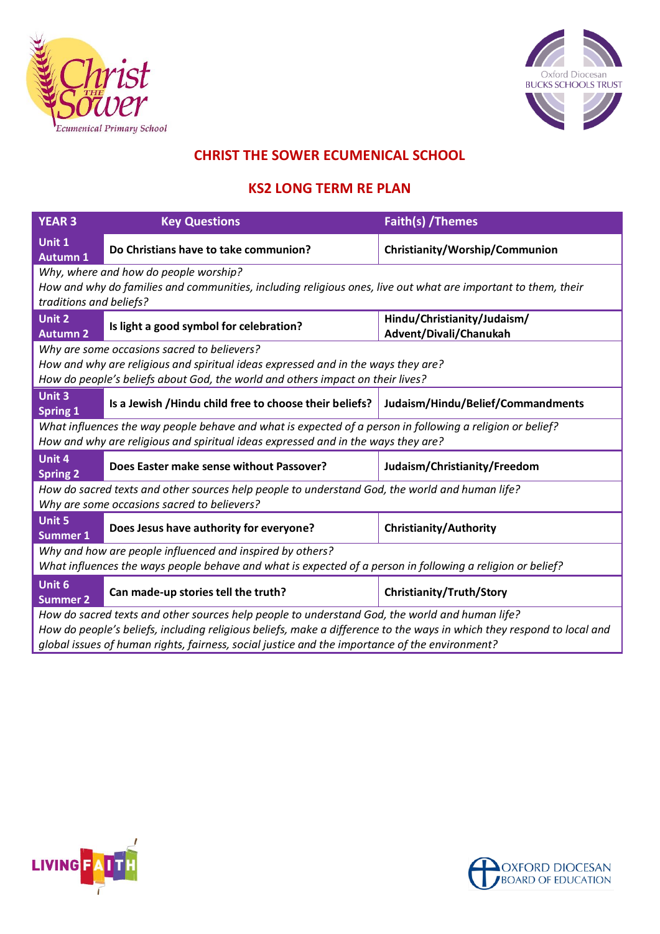



## **CHRIST THE SOWER ECUMENICAL SCHOOL**

## **KS2 LONG TERM RE PLAN**

| <b>YEAR 3</b>                                                                                                          | <b>Key Questions</b>                                                                           | Faith(s) / Themes                                     |  |  |
|------------------------------------------------------------------------------------------------------------------------|------------------------------------------------------------------------------------------------|-------------------------------------------------------|--|--|
| Unit 1<br><b>Autumn 1</b>                                                                                              | Do Christians have to take communion?                                                          | Christianity/Worship/Communion                        |  |  |
|                                                                                                                        | Why, where and how do people worship?                                                          |                                                       |  |  |
| How and why do families and communities, including religious ones, live out what are important to them, their          |                                                                                                |                                                       |  |  |
| traditions and beliefs?                                                                                                |                                                                                                |                                                       |  |  |
| Unit 2<br><b>Autumn 2</b>                                                                                              | Is light a good symbol for celebration?                                                        | Hindu/Christianity/Judaism/<br>Advent/Divali/Chanukah |  |  |
|                                                                                                                        | Why are some occasions sacred to believers?                                                    |                                                       |  |  |
| How and why are religious and spiritual ideas expressed and in the ways they are?                                      |                                                                                                |                                                       |  |  |
| How do people's beliefs about God, the world and others impact on their lives?                                         |                                                                                                |                                                       |  |  |
| Unit 3<br><b>Spring 1</b>                                                                                              | Is a Jewish / Hindu child free to choose their beliefs?                                        | Judaism/Hindu/Belief/Commandments                     |  |  |
| What influences the way people behave and what is expected of a person in following a religion or belief?              |                                                                                                |                                                       |  |  |
|                                                                                                                        | How and why are religious and spiritual ideas expressed and in the ways they are?              |                                                       |  |  |
| Unit 4<br><b>Spring 2</b>                                                                                              | Does Easter make sense without Passover?                                                       | Judaism/Christianity/Freedom                          |  |  |
| How do sacred texts and other sources help people to understand God, the world and human life?                         |                                                                                                |                                                       |  |  |
| Why are some occasions sacred to believers?                                                                            |                                                                                                |                                                       |  |  |
| Unit 5<br><b>Summer 1</b>                                                                                              | Does Jesus have authority for everyone?                                                        | <b>Christianity/Authority</b>                         |  |  |
| Why and how are people influenced and inspired by others?                                                              |                                                                                                |                                                       |  |  |
| What influences the ways people behave and what is expected of a person in following a religion or belief?             |                                                                                                |                                                       |  |  |
| Unit 6<br><b>Summer 2</b>                                                                                              | Can made-up stories tell the truth?                                                            | Christianity/Truth/Story                              |  |  |
| How do sacred texts and other sources help people to understand God, the world and human life?                         |                                                                                                |                                                       |  |  |
| How do people's beliefs, including religious beliefs, make a difference to the ways in which they respond to local and |                                                                                                |                                                       |  |  |
|                                                                                                                        | global issues of human rights, fairness, social justice and the importance of the environment? |                                                       |  |  |



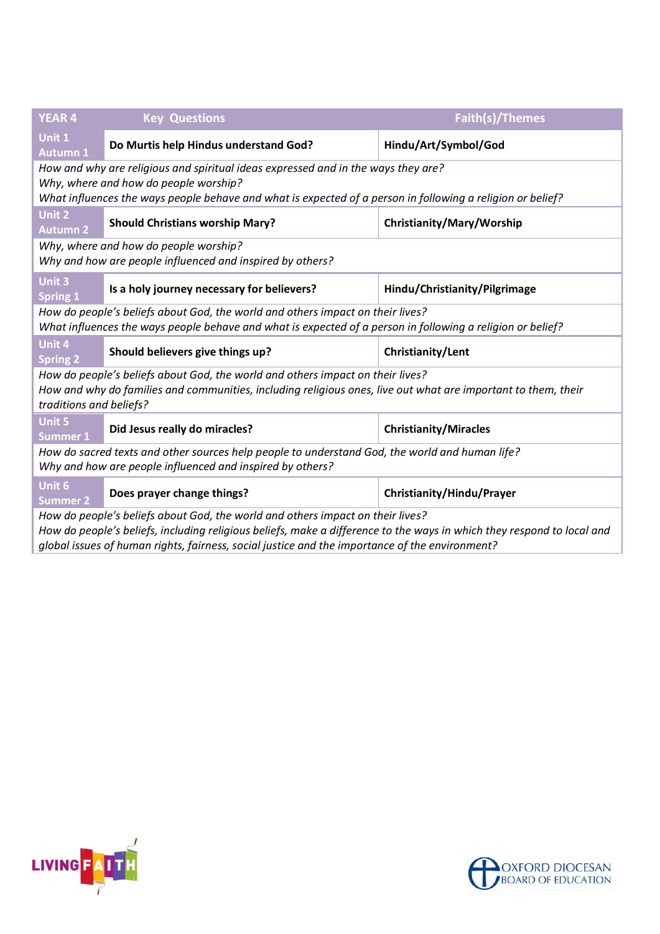| <b>YEAR 4</b>                                                                                                                                                                                                                            | <b>Key Questions</b>                       | Faith(s)/Themes               |  |  |
|------------------------------------------------------------------------------------------------------------------------------------------------------------------------------------------------------------------------------------------|--------------------------------------------|-------------------------------|--|--|
| Unit 1<br><b>Autumn 1</b>                                                                                                                                                                                                                | Do Murtis help Hindus understand God?      | Hindu/Art/Symbol/God          |  |  |
| How and why are religious and spiritual ideas expressed and in the ways they are?<br>Why, where and how do people worship?<br>What influences the ways people behave and what is expected of a person in following a religion or belief? |                                            |                               |  |  |
| Unit 2<br><b>Autumn 2</b>                                                                                                                                                                                                                | <b>Should Christians worship Mary?</b>     | Christianity/Mary/Worship     |  |  |
| Why, where and how do people worship?<br>Why and how are people influenced and inspired by others?                                                                                                                                       |                                            |                               |  |  |
| Unit 3<br><b>Spring 1</b>                                                                                                                                                                                                                | Is a holy journey necessary for believers? | Hindu/Christianity/Pilgrimage |  |  |
| How do people's beliefs about God, the world and others impact on their lives?<br>What influences the ways people behave and what is expected of a person in following a religion or belief?                                             |                                            |                               |  |  |
| Unit 4<br><b>Spring 2</b>                                                                                                                                                                                                                | Should believers give things up?           | Christianity/Lent             |  |  |
| How do people's beliefs about God, the world and others impact on their lives?<br>How and why do families and communities, including religious ones, live out what are important to them, their<br>traditions and beliefs?               |                                            |                               |  |  |
| <b>Unit 5</b><br><b>Summer 1</b>                                                                                                                                                                                                         | Did Jesus really do miracles?              | <b>Christianity/Miracles</b>  |  |  |
| How do sacred texts and other sources help people to understand God, the world and human life?<br>Why and how are people influenced and inspired by others?                                                                              |                                            |                               |  |  |
| Unit 6<br><b>Summer 2</b>                                                                                                                                                                                                                | Does prayer change things?                 | Christianity/Hindu/Prayer     |  |  |
| How do people's beliefs about God, the world and others impact on their lives?<br>How do people's beliefs, including religious beliefs, make a difference to the ways in which they respond to local and                                 |                                            |                               |  |  |

*global issues of human rights, fairness, social justice and the importance of the environment?*



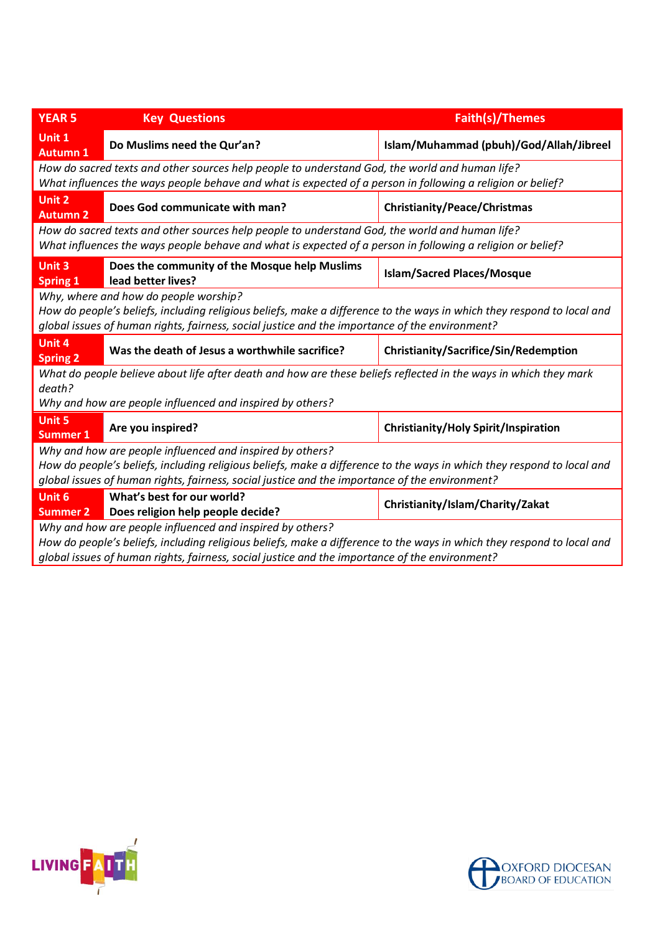| <b>YEAR 5</b>                                                                                                                                                                                                                                                                         | <b>Key Questions</b>                                                | <b>Faith(s)/Themes</b>                      |  |  |
|---------------------------------------------------------------------------------------------------------------------------------------------------------------------------------------------------------------------------------------------------------------------------------------|---------------------------------------------------------------------|---------------------------------------------|--|--|
| Unit 1<br><b>Autumn 1</b>                                                                                                                                                                                                                                                             | Do Muslims need the Qur'an?                                         | Islam/Muhammad (pbuh)/God/Allah/Jibreel     |  |  |
| How do sacred texts and other sources help people to understand God, the world and human life?<br>What influences the ways people behave and what is expected of a person in following a religion or belief?                                                                          |                                                                     |                                             |  |  |
| <b>Unit 2</b><br><b>Autumn 2</b>                                                                                                                                                                                                                                                      | Does God communicate with man?                                      | Christianity/Peace/Christmas                |  |  |
| How do sacred texts and other sources help people to understand God, the world and human life?<br>What influences the ways people behave and what is expected of a person in following a religion or belief?                                                                          |                                                                     |                                             |  |  |
| Unit 3<br><b>Spring 1</b>                                                                                                                                                                                                                                                             | Does the community of the Mosque help Muslims<br>lead better lives? | <b>Islam/Sacred Places/Mosque</b>           |  |  |
| Why, where and how do people worship?<br>How do people's beliefs, including religious beliefs, make a difference to the ways in which they respond to local and<br>global issues of human rights, fairness, social justice and the importance of the environment?                     |                                                                     |                                             |  |  |
| Unit 4<br><b>Spring 2</b>                                                                                                                                                                                                                                                             | Was the death of Jesus a worthwhile sacrifice?                      | Christianity/Sacrifice/Sin/Redemption       |  |  |
| What do people believe about life after death and how are these beliefs reflected in the ways in which they mark<br>death?<br>Why and how are people influenced and inspired by others?                                                                                               |                                                                     |                                             |  |  |
| <b>Unit 5</b><br><b>Summer 1</b>                                                                                                                                                                                                                                                      | Are you inspired?                                                   | <b>Christianity/Holy Spirit/Inspiration</b> |  |  |
| Why and how are people influenced and inspired by others?<br>How do people's beliefs, including religious beliefs, make a difference to the ways in which they respond to local and<br>global issues of human rights, fairness, social justice and the importance of the environment? |                                                                     |                                             |  |  |
| Unit 6<br><b>Summer 2</b>                                                                                                                                                                                                                                                             | What's best for our world?<br>Does religion help people decide?     | Christianity/Islam/Charity/Zakat            |  |  |
| Why and how are people influenced and inspired by others?<br>How do neonle's beliefs, including religious beliefs, make a difference to the ways in which they respond to local and                                                                                                   |                                                                     |                                             |  |  |

*How do people's beliefs, including religious beliefs, make a difference to the ways in which they respond to local and global issues of human rights, fairness, social justice and the importance of the environment?*